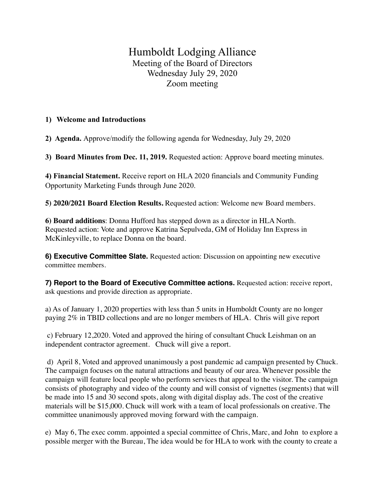## Humboldt Lodging Alliance Meeting of the Board of Directors Wednesday July 29, 2020 Zoom meeting

## **1) Welcome and Introductions**

**2) Agenda.** Approve/modify the following agenda for Wednesday, July 29, 2020

**3) Board Minutes from Dec. 11, 2019.** Requested action: Approve board meeting minutes.

**4) Financial Statement.** Receive report on HLA 2020 financials and Community Funding Opportunity Marketing Funds through June 2020.

**5) 2020/2021 Board Election Results.** Requested action: Welcome new Board members.

**6) Board additions**: Donna Hufford has stepped down as a director in HLA North. Requested action: Vote and approve Katrina Sepulveda, GM of Holiday Inn Express in McKinleyville, to replace Donna on the board.

**6) Executive Committee Slate.** Requested action: Discussion on appointing new executive committee members.

**7) Report to the Board of Executive Committee actions.** Requested action: receive report, ask questions and provide direction as appropriate.

a) As of January 1, 2020 properties with less than 5 units in Humboldt County are no longer paying 2% in TBID collections and are no longer members of HLA. Chris will give report

 c) February 12,2020. Voted and approved the hiring of consultant Chuck Leishman on an independent contractor agreement. Chuck will give a report.

 d) April 8, Voted and approved unanimously a post pandemic ad campaign presented by Chuck. The campaign focuses on the natural attractions and beauty of our area. Whenever possible the campaign will feature local people who perform services that appeal to the visitor. The campaign consists of photography and video of the county and will consist of vignettes (segments) that will be made into 15 and 30 second spots, along with digital display ads. The cost of the creative materials will be \$15,000. Chuck will work with a team of local professionals on creative. The committee unanimously approved moving forward with the campaign.

e) May 6, The exec comm. appointed a special committee of Chris, Marc, and John to explore a possible merger with the Bureau, The idea would be for HLA to work with the county to create a